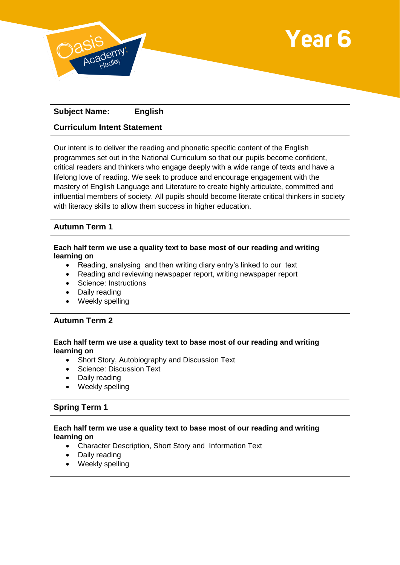



| <b>Subject Name:</b>                                                                                                                                                                       | <b>English</b>                                                                                                                                                                                                                                                                                                                                                                                                                                                                                                                                                                                                   |
|--------------------------------------------------------------------------------------------------------------------------------------------------------------------------------------------|------------------------------------------------------------------------------------------------------------------------------------------------------------------------------------------------------------------------------------------------------------------------------------------------------------------------------------------------------------------------------------------------------------------------------------------------------------------------------------------------------------------------------------------------------------------------------------------------------------------|
| <b>Curriculum Intent Statement</b>                                                                                                                                                         |                                                                                                                                                                                                                                                                                                                                                                                                                                                                                                                                                                                                                  |
|                                                                                                                                                                                            | Our intent is to deliver the reading and phonetic specific content of the English<br>programmes set out in the National Curriculum so that our pupils become confident,<br>critical readers and thinkers who engage deeply with a wide range of texts and have a<br>lifelong love of reading. We seek to produce and encourage engagement with the<br>mastery of English Language and Literature to create highly articulate, committed and<br>influential members of society. All pupils should become literate critical thinkers in society<br>with literacy skills to allow them success in higher education. |
| <b>Autumn Term 1</b>                                                                                                                                                                       |                                                                                                                                                                                                                                                                                                                                                                                                                                                                                                                                                                                                                  |
| learning on<br>Science: Instructions<br>Daily reading<br>Weekly spelling                                                                                                                   | Each half term we use a quality text to base most of our reading and writing<br>Reading, analysing and then writing diary entry's linked to our text<br>Reading and reviewing newspaper report, writing newspaper report                                                                                                                                                                                                                                                                                                                                                                                         |
| <b>Autumn Term 2</b>                                                                                                                                                                       |                                                                                                                                                                                                                                                                                                                                                                                                                                                                                                                                                                                                                  |
| learning on<br><b>Science: Discussion Text</b><br>Daily reading<br>Weekly spelling                                                                                                         | Each half term we use a quality text to base most of our reading and writing<br>Short Story, Autobiography and Discussion Text                                                                                                                                                                                                                                                                                                                                                                                                                                                                                   |
| <b>Spring Term 1</b>                                                                                                                                                                       |                                                                                                                                                                                                                                                                                                                                                                                                                                                                                                                                                                                                                  |
| Each half term we use a quality text to base most of our reading and writing<br>learning on<br>Character Description, Short Story and Information Text<br>Daily reading<br>Weekly spelling |                                                                                                                                                                                                                                                                                                                                                                                                                                                                                                                                                                                                                  |